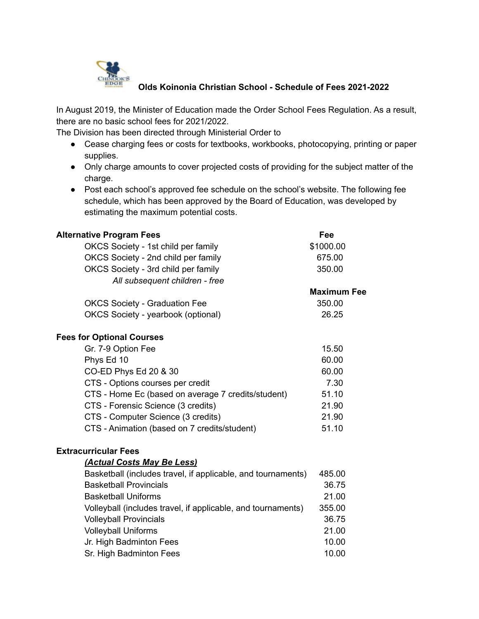

## **Olds Koinonia Christian School - Schedule of Fees 2021-2022**

In August 2019, the Minister of Education made the Order School Fees Regulation. As a result, there are no basic school fees for 2021/2022.

The Division has been directed through Ministerial Order to

- Cease charging fees or costs for textbooks, workbooks, photocopying, printing or paper supplies.
- Only charge amounts to cover projected costs of providing for the subject matter of the charge.
- Post each school's approved fee schedule on the school's website. The following fee schedule, which has been approved by the Board of Education, was developed by estimating the maximum potential costs.

| <b>Alternative Program Fees</b>                              | Fee                |
|--------------------------------------------------------------|--------------------|
| OKCS Society - 1st child per family                          | \$1000.00          |
| OKCS Society - 2nd child per family                          | 675.00             |
| OKCS Society - 3rd child per family                          | 350.00             |
| All subsequent children - free                               |                    |
|                                                              | <b>Maximum Fee</b> |
| <b>OKCS Society - Graduation Fee</b>                         | 350.00             |
| OKCS Society - yearbook (optional)                           | 26.25              |
| <b>Fees for Optional Courses</b>                             |                    |
| Gr. 7-9 Option Fee                                           | 15.50              |
| Phys Ed 10                                                   | 60.00              |
| CO-ED Phys Ed 20 & 30                                        | 60.00              |
| CTS - Options courses per credit                             | 7.30               |
| CTS - Home Ec (based on average 7 credits/student)           | 51.10              |
| CTS - Forensic Science (3 credits)                           | 21.90              |
| CTS - Computer Science (3 credits)                           | 21.90              |
| CTS - Animation (based on 7 credits/student)                 | 51.10              |
| <b>Extracurricular Fees</b>                                  |                    |
| (Actual Costs May Be Less)                                   |                    |
| Basketball (includes travel, if applicable, and tournaments) | 485.00             |
| <b>Basketball Provincials</b>                                | 36.75              |
| <b>Basketball Uniforms</b>                                   | 21.00              |
| Volleyball (includes travel, if applicable, and tournaments) | 355.00             |
| <b>Volleyball Provincials</b>                                | 36.75              |
| <b>Volleyball Uniforms</b>                                   | 21.00              |
| Jr. High Badminton Fees                                      | 10.00              |
| Sr. High Badminton Fees                                      | 10.00              |